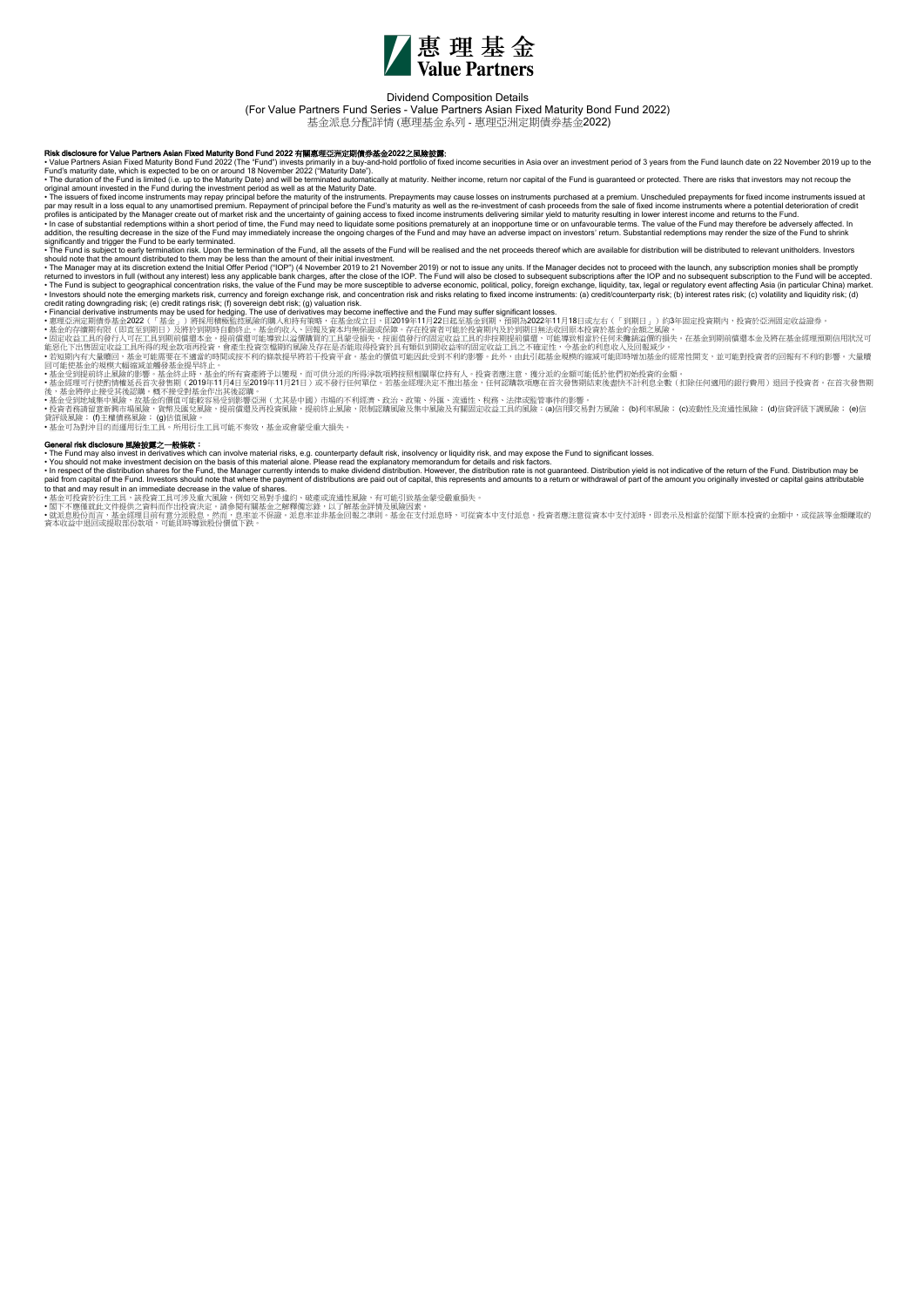

## Dividend Composition Details

(For Value Partners Fund Series - Value Partners Asian Fixed Maturity Bond Fund 2022)

基金派息分配詳情 (惠理基金系列 - 惠理亞洲定期債券基金2022)

R**isk disclosure for Value Partners Asian Fixed Maturity Bond Fund 2022 有翼感理玩洲定期的 Maturity Bond Data Date and Maturity data come securities in Asia over an investment period of 3 years from the Fund launch date on 22 Nove** 

• The issuers of fixed income instruments may repay principal before the maturity of the instruments. Prepayments may cause losses on instruments purchased at a premium. Unscheduled prepayments for fixed income instruments • In case of substantial redemptions within a short period of time, the Fund may need to liquidate some positions prematurely at an inopportune time or on unfavourable terms. The value of the Fund to shorter be addversely

significantly and trigger the Fund to be early terminated.<br>• The Fund is subject to early termination risk. Upon the termination of the Fund, all the assets of the Fund will be realised and the net proceeds thereof which a

- The Fund is subject to early termination at k, Upon the ferminalion of the Fund, all the assets of the Fund, in the assets of the Fund, all the and the net proceeds thereed which are available for distinctivity will be

General risk disclosure 風操披翼之一般線線:<br>• The Fund may also invest in derivatives which can involve material risks, e.g. counterparty default risk, insolvency or liquidity risk, and may expose the Fund to significant losses.<br>•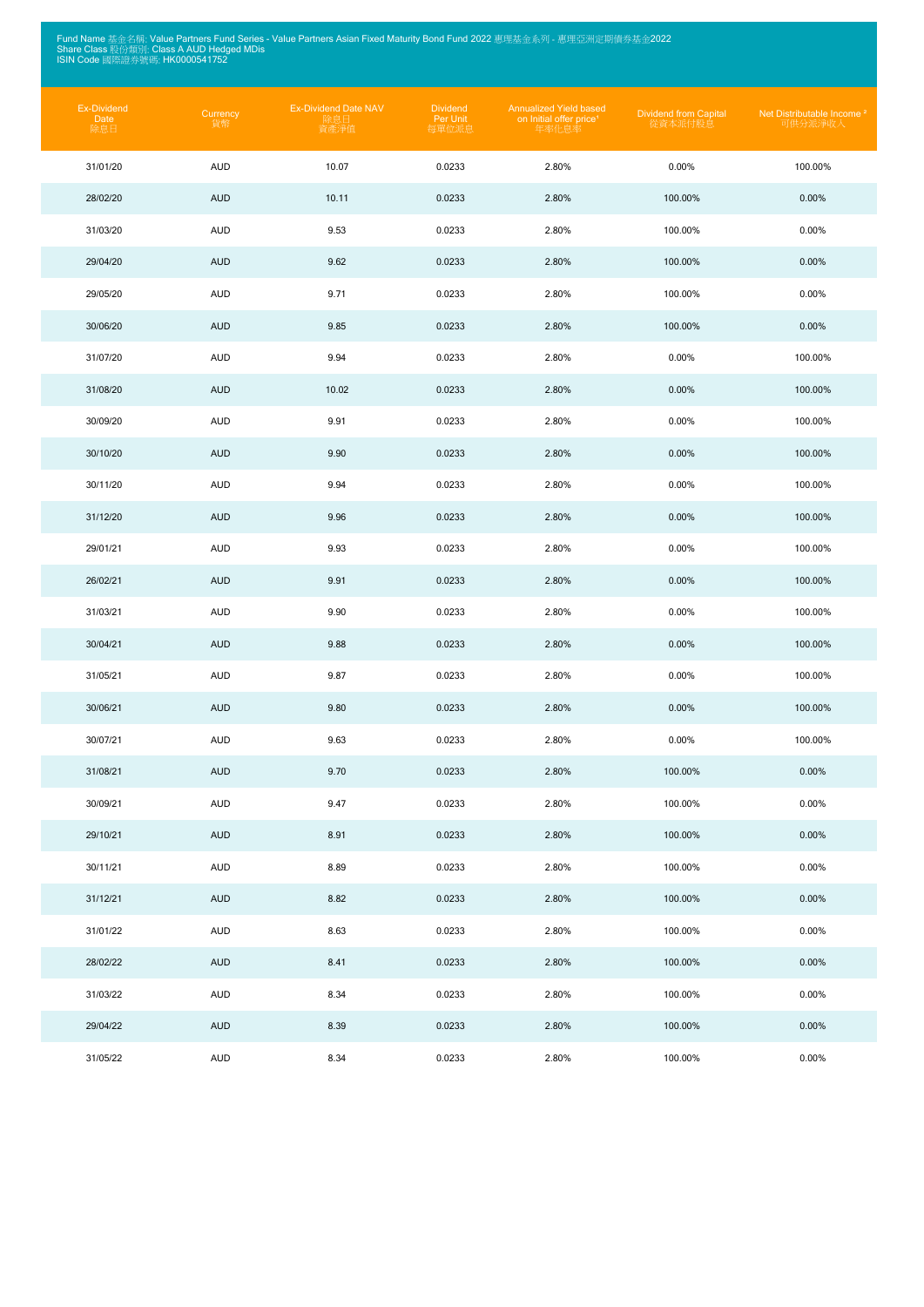Fund Name 基金名稱: Value Partners Fund Series - Value Partners Asian Fixed Maturity Bond Fund 2022 惠理基金系列 - 惠理亞洲定期債券基金2022<br>Share Class 股份類別: Class A AUD Hedged MDis<br>ISIN Code 國際證券號碼: HK0000541752

| Ex-Dividend<br>Date<br>除息日 | Currency<br>貨幣 | <b>Ex-Dividend Date NAV</b><br>除息日<br>資產淨值 | <b>Dividend</b><br>Per Unit<br>每單位派息 | <b>Annualized Yield based</b><br>on Initial offer price <sup>1</sup><br>年率化息率 | <b>Dividend from Capital</b><br>從資本派付股息 | Net Distributable Income <sup>2</sup><br>可供分派淨收人 |
|----------------------------|----------------|--------------------------------------------|--------------------------------------|-------------------------------------------------------------------------------|-----------------------------------------|--------------------------------------------------|
| 31/01/20                   | <b>AUD</b>     | 10.07                                      | 0.0233                               | 2.80%                                                                         | 0.00%                                   | 100.00%                                          |
| 28/02/20                   | <b>AUD</b>     | 10.11                                      | 0.0233                               | 2.80%                                                                         | 100.00%                                 | 0.00%                                            |
| 31/03/20                   | <b>AUD</b>     | 9.53                                       | 0.0233                               | 2.80%                                                                         | 100.00%                                 | 0.00%                                            |
| 29/04/20                   | <b>AUD</b>     | 9.62                                       | 0.0233                               | 2.80%                                                                         | 100.00%                                 | 0.00%                                            |
| 29/05/20                   | <b>AUD</b>     | 9.71                                       | 0.0233                               | 2.80%                                                                         | 100.00%                                 | 0.00%                                            |
| 30/06/20                   | <b>AUD</b>     | 9.85                                       | 0.0233                               | 2.80%                                                                         | 100.00%                                 | 0.00%                                            |
| 31/07/20                   | <b>AUD</b>     | 9.94                                       | 0.0233                               | 2.80%                                                                         | 0.00%                                   | 100.00%                                          |
| 31/08/20                   | <b>AUD</b>     | 10.02                                      | 0.0233                               | 2.80%                                                                         | 0.00%                                   | 100.00%                                          |
| 30/09/20                   | <b>AUD</b>     | 9.91                                       | 0.0233                               | 2.80%                                                                         | 0.00%                                   | 100.00%                                          |
| 30/10/20                   | <b>AUD</b>     | 9.90                                       | 0.0233                               | 2.80%                                                                         | 0.00%                                   | 100.00%                                          |
| 30/11/20                   | <b>AUD</b>     | 9.94                                       | 0.0233                               | 2.80%                                                                         | 0.00%                                   | 100.00%                                          |
| 31/12/20                   | <b>AUD</b>     | 9.96                                       | 0.0233                               | 2.80%                                                                         | 0.00%                                   | 100.00%                                          |
| 29/01/21                   | <b>AUD</b>     | 9.93                                       | 0.0233                               | 2.80%                                                                         | 0.00%                                   | 100.00%                                          |
| 26/02/21                   | <b>AUD</b>     | 9.91                                       | 0.0233                               | 2.80%                                                                         | 0.00%                                   | 100.00%                                          |
| 31/03/21                   | <b>AUD</b>     | 9.90                                       | 0.0233                               | 2.80%                                                                         | 0.00%                                   | 100.00%                                          |
| 30/04/21                   | <b>AUD</b>     | 9.88                                       | 0.0233                               | 2.80%                                                                         | 0.00%                                   | 100.00%                                          |
| 31/05/21                   | AUD            | 9.87                                       | 0.0233                               | 2.80%                                                                         | 0.00%                                   | 100.00%                                          |
| 30/06/21                   | <b>AUD</b>     | 9.80                                       | 0.0233                               | 2.80%                                                                         | 0.00%                                   | 100.00%                                          |
| 30/07/21                   | <b>AUD</b>     | 9.63                                       | 0.0233                               | 2.80%                                                                         | 0.00%                                   | 100.00%                                          |
| 31/08/21                   | <b>AUD</b>     | 9.70                                       | 0.0233                               | 2.80%                                                                         | 100.00%                                 | 0.00%                                            |
| 30/09/21                   | <b>AUD</b>     | 9.47                                       | 0.0233                               | 2.80%                                                                         | 100.00%                                 | 0.00%                                            |
| 29/10/21                   | <b>AUD</b>     | 8.91                                       | 0.0233                               | 2.80%                                                                         | 100.00%                                 | 0.00%                                            |
| 30/11/21                   | <b>AUD</b>     | 8.89                                       | 0.0233                               | 2.80%                                                                         | 100.00%                                 | 0.00%                                            |
| 31/12/21                   | <b>AUD</b>     | 8.82                                       | 0.0233                               | 2.80%                                                                         | 100.00%                                 | 0.00%                                            |
| 31/01/22                   | <b>AUD</b>     | 8.63                                       | 0.0233                               | 2.80%                                                                         | 100.00%                                 | 0.00%                                            |
| 28/02/22                   | <b>AUD</b>     | 8.41                                       | 0.0233                               | 2.80%                                                                         | 100.00%                                 | 0.00%                                            |
| 31/03/22                   | <b>AUD</b>     | 8.34                                       | 0.0233                               | 2.80%                                                                         | 100.00%                                 | 0.00%                                            |
| 29/04/22                   | <b>AUD</b>     | 8.39                                       | 0.0233                               | 2.80%                                                                         | 100.00%                                 | 0.00%                                            |
| 31/05/22                   | <b>AUD</b>     | 8.34                                       | 0.0233                               | 2.80%                                                                         | 100.00%                                 | 0.00%                                            |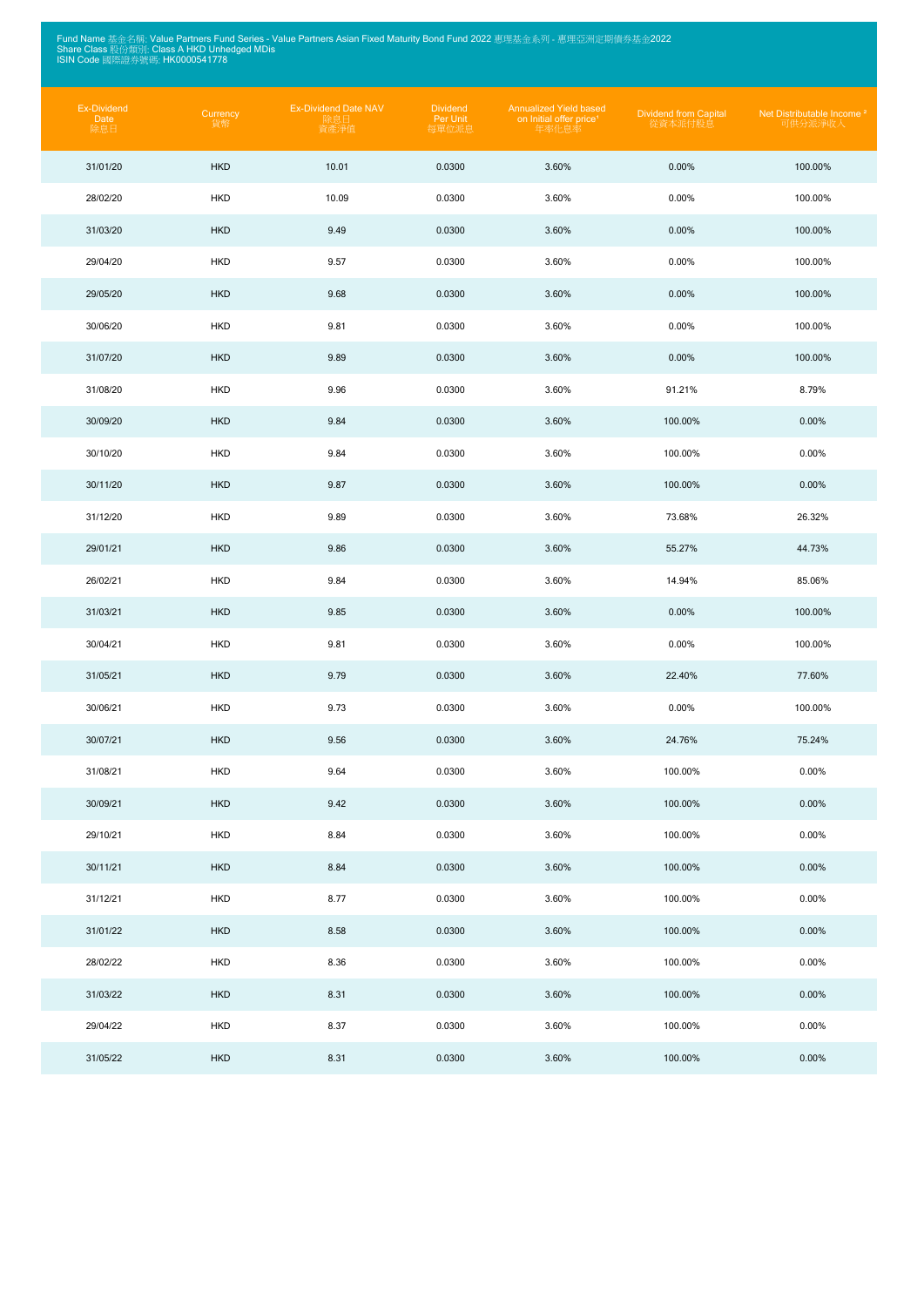Fund Name 基金名稱: Value Partners Fund Series - Value Partners Asian Fixed Maturity Bond Fund 2022 惠理基金系列 - 惠理亞洲定期債券基金2022<br>Share Class 股份類別: Class A HKD Unhedged MDis<br>ISIN Code 國際證券號碼: HK0000541778

| Ex-Dividend<br>Date<br>除息日 | Currency<br>貨幣 | <b>Ex-Dividend Date NAV</b><br>除息日<br>資產淨值 | <b>Dividend</b><br>Per Unit<br>每單位派息 | <b>Annualized Yield based</b><br>on Initial offer price <sup>1</sup><br>年率化息率 | <b>Dividend from Capital</b><br>從資本派付股息 | Net Distributable Income <sup>2</sup><br>可供分派淨收入 |
|----------------------------|----------------|--------------------------------------------|--------------------------------------|-------------------------------------------------------------------------------|-----------------------------------------|--------------------------------------------------|
| 31/01/20                   | <b>HKD</b>     | 10.01                                      | 0.0300                               | 3.60%                                                                         | 0.00%                                   | 100.00%                                          |
| 28/02/20                   | <b>HKD</b>     | 10.09                                      | 0.0300                               | 3.60%                                                                         | 0.00%                                   | 100.00%                                          |
| 31/03/20                   | <b>HKD</b>     | 9.49                                       | 0.0300                               | 3.60%                                                                         | 0.00%                                   | 100.00%                                          |
| 29/04/20                   | <b>HKD</b>     | 9.57                                       | 0.0300                               | 3.60%                                                                         | 0.00%                                   | 100.00%                                          |
| 29/05/20                   | <b>HKD</b>     | 9.68                                       | 0.0300                               | 3.60%                                                                         | 0.00%                                   | 100.00%                                          |
| 30/06/20                   | <b>HKD</b>     | 9.81                                       | 0.0300                               | 3.60%                                                                         | 0.00%                                   | 100.00%                                          |
| 31/07/20                   | <b>HKD</b>     | 9.89                                       | 0.0300                               | 3.60%                                                                         | 0.00%                                   | 100.00%                                          |
| 31/08/20                   | <b>HKD</b>     | 9.96                                       | 0.0300                               | 3.60%                                                                         | 91.21%                                  | 8.79%                                            |
| 30/09/20                   | <b>HKD</b>     | 9.84                                       | 0.0300                               | 3.60%                                                                         | 100.00%                                 | 0.00%                                            |
| 30/10/20                   | <b>HKD</b>     | 9.84                                       | 0.0300                               | 3.60%                                                                         | 100.00%                                 | 0.00%                                            |
| 30/11/20                   | <b>HKD</b>     | 9.87                                       | 0.0300                               | 3.60%                                                                         | 100.00%                                 | 0.00%                                            |
| 31/12/20                   | <b>HKD</b>     | 9.89                                       | 0.0300                               | 3.60%                                                                         | 73.68%                                  | 26.32%                                           |
| 29/01/21                   | <b>HKD</b>     | 9.86                                       | 0.0300                               | 3.60%                                                                         | 55.27%                                  | 44.73%                                           |
| 26/02/21                   | <b>HKD</b>     | 9.84                                       | 0.0300                               | 3.60%                                                                         | 14.94%                                  | 85.06%                                           |
| 31/03/21                   | <b>HKD</b>     | 9.85                                       | 0.0300                               | 3.60%                                                                         | 0.00%                                   | 100.00%                                          |
| 30/04/21                   | <b>HKD</b>     | 9.81                                       | 0.0300                               | 3.60%                                                                         | 0.00%                                   | 100.00%                                          |
| 31/05/21                   | <b>HKD</b>     | 9.79                                       | 0.0300                               | 3.60%                                                                         | 22.40%                                  | 77.60%                                           |
| 30/06/21                   | <b>HKD</b>     | 9.73                                       | 0.0300                               | 3.60%                                                                         | 0.00%                                   | 100.00%                                          |
| 30/07/21                   | <b>HKD</b>     | 9.56                                       | 0.0300                               | 3.60%                                                                         | 24.76%                                  | 75.24%                                           |
| 31/08/21                   | <b>HKD</b>     | 9.64                                       | 0.0300                               | 3.60%                                                                         | 100.00%                                 | 0.00%                                            |
| 30/09/21                   | <b>HKD</b>     | 9.42                                       | 0.0300                               | 3.60%                                                                         | 100.00%                                 | 0.00%                                            |
| 29/10/21                   | <b>HKD</b>     | 8.84                                       | 0.0300                               | 3.60%                                                                         | 100.00%                                 | 0.00%                                            |
| 30/11/21                   | <b>HKD</b>     | 8.84                                       | 0.0300                               | 3.60%                                                                         | 100.00%                                 | 0.00%                                            |
| 31/12/21                   | <b>HKD</b>     | 8.77                                       | 0.0300                               | 3.60%                                                                         | 100.00%                                 | 0.00%                                            |
| 31/01/22                   | <b>HKD</b>     | 8.58                                       | 0.0300                               | 3.60%                                                                         | 100.00%                                 | 0.00%                                            |
| 28/02/22                   | <b>HKD</b>     | 8.36                                       | 0.0300                               | 3.60%                                                                         | 100.00%                                 | 0.00%                                            |
| 31/03/22                   | <b>HKD</b>     | 8.31                                       | 0.0300                               | 3.60%                                                                         | 100.00%                                 | 0.00%                                            |
| 29/04/22                   | <b>HKD</b>     | 8.37                                       | 0.0300                               | 3.60%                                                                         | 100.00%                                 | 0.00%                                            |
| 31/05/22                   | <b>HKD</b>     | 8.31                                       | 0.0300                               | 3.60%                                                                         | 100.00%                                 | 0.00%                                            |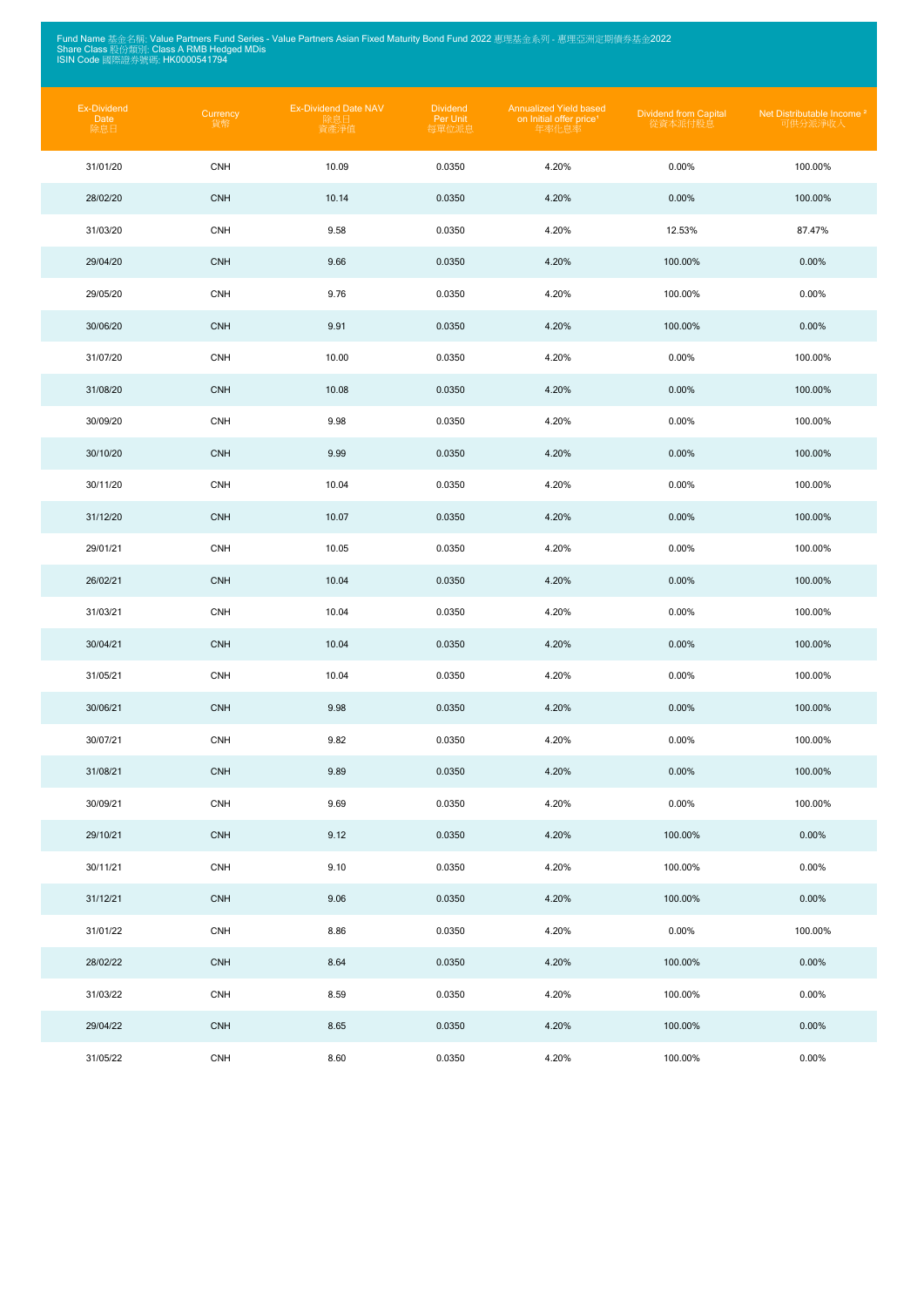Fund Name 基金名稱: Value Partners Fund Series - Value Partners Asian Fixed Maturity Bond Fund 2022 惠理基金系列 - 惠理亞洲定期債券基金2022<br>Share Class 股份類別: Class A RMB Hedged MDis<br>ISIN Code 國際證券號碼: HK0000541794

| Ex-Dividend<br>Date<br>除息日 | Currency<br>貨幣 | <b>Ex-Dividend Date NAV</b><br>除息日<br>資產淨值 | <b>Dividend</b><br>Per Unit<br>每單位派息 | <b>Annualized Yield based</b><br>on Initial offer price <sup>1</sup><br>年率化息率 | <b>Dividend from Capital</b><br>從資本派付股息 | Net Distributable Income <sup>2</sup><br>可供分派淨收入 |
|----------------------------|----------------|--------------------------------------------|--------------------------------------|-------------------------------------------------------------------------------|-----------------------------------------|--------------------------------------------------|
| 31/01/20                   | <b>CNH</b>     | 10.09                                      | 0.0350                               | 4.20%                                                                         | 0.00%                                   | 100.00%                                          |
| 28/02/20                   | <b>CNH</b>     | 10.14                                      | 0.0350                               | 4.20%                                                                         | 0.00%                                   | 100.00%                                          |
| 31/03/20                   | <b>CNH</b>     | 9.58                                       | 0.0350                               | 4.20%                                                                         | 12.53%                                  | 87.47%                                           |
| 29/04/20                   | <b>CNH</b>     | 9.66                                       | 0.0350                               | 4.20%                                                                         | 100.00%                                 | 0.00%                                            |
| 29/05/20                   | <b>CNH</b>     | 9.76                                       | 0.0350                               | 4.20%                                                                         | 100.00%                                 | 0.00%                                            |
| 30/06/20                   | <b>CNH</b>     | 9.91                                       | 0.0350                               | 4.20%                                                                         | 100.00%                                 | 0.00%                                            |
| 31/07/20                   | <b>CNH</b>     | 10.00                                      | 0.0350                               | 4.20%                                                                         | 0.00%                                   | 100.00%                                          |
| 31/08/20                   | <b>CNH</b>     | 10.08                                      | 0.0350                               | 4.20%                                                                         | 0.00%                                   | 100.00%                                          |
| 30/09/20                   | <b>CNH</b>     | 9.98                                       | 0.0350                               | 4.20%                                                                         | 0.00%                                   | 100.00%                                          |
| 30/10/20                   | <b>CNH</b>     | 9.99                                       | 0.0350                               | 4.20%                                                                         | 0.00%                                   | 100.00%                                          |
| 30/11/20                   | <b>CNH</b>     | 10.04                                      | 0.0350                               | 4.20%                                                                         | 0.00%                                   | 100.00%                                          |
| 31/12/20                   | <b>CNH</b>     | 10.07                                      | 0.0350                               | 4.20%                                                                         | 0.00%                                   | 100.00%                                          |
| 29/01/21                   | <b>CNH</b>     | 10.05                                      | 0.0350                               | 4.20%                                                                         | 0.00%                                   | 100.00%                                          |
| 26/02/21                   | <b>CNH</b>     | 10.04                                      | 0.0350                               | 4.20%                                                                         | 0.00%                                   | 100.00%                                          |
| 31/03/21                   | <b>CNH</b>     | 10.04                                      | 0.0350                               | 4.20%                                                                         | 0.00%                                   | 100.00%                                          |
| 30/04/21                   | <b>CNH</b>     | 10.04                                      | 0.0350                               | 4.20%                                                                         | 0.00%                                   | 100.00%                                          |
| 31/05/21                   | <b>CNH</b>     | 10.04                                      | 0.0350                               | 4.20%                                                                         | 0.00%                                   | 100.00%                                          |
| 30/06/21                   | <b>CNH</b>     | 9.98                                       | 0.0350                               | 4.20%                                                                         | 0.00%                                   | 100.00%                                          |
| 30/07/21                   | <b>CNH</b>     | 9.82                                       | 0.0350                               | 4.20%                                                                         | 0.00%                                   | 100.00%                                          |
| 31/08/21                   | <b>CNH</b>     | 9.89                                       | 0.0350                               | 4.20%                                                                         | 0.00%                                   | 100.00%                                          |
| 30/09/21                   | <b>CNH</b>     | 9.69                                       | 0.0350                               | 4.20%                                                                         | 0.00%                                   | 100.00%                                          |
| 29/10/21                   | <b>CNH</b>     | 9.12                                       | 0.0350                               | 4.20%                                                                         | 100.00%                                 | 0.00%                                            |
| 30/11/21                   | <b>CNH</b>     | 9.10                                       | 0.0350                               | 4.20%                                                                         | 100.00%                                 | 0.00%                                            |
| 31/12/21                   | <b>CNH</b>     | 9.06                                       | 0.0350                               | 4.20%                                                                         | 100.00%                                 | 0.00%                                            |
| 31/01/22                   | <b>CNH</b>     | 8.86                                       | 0.0350                               | 4.20%                                                                         | $0.00\%$                                | 100.00%                                          |
| 28/02/22                   | <b>CNH</b>     | 8.64                                       | 0.0350                               | 4.20%                                                                         | 100.00%                                 | 0.00%                                            |
| 31/03/22                   | <b>CNH</b>     | 8.59                                       | 0.0350                               | 4.20%                                                                         | 100.00%                                 | 0.00%                                            |
| 29/04/22                   | <b>CNH</b>     | 8.65                                       | 0.0350                               | 4.20%                                                                         | 100.00%                                 | 0.00%                                            |
| 31/05/22                   | <b>CNH</b>     | 8.60                                       | 0.0350                               | 4.20%                                                                         | 100.00%                                 | $0.00\%$                                         |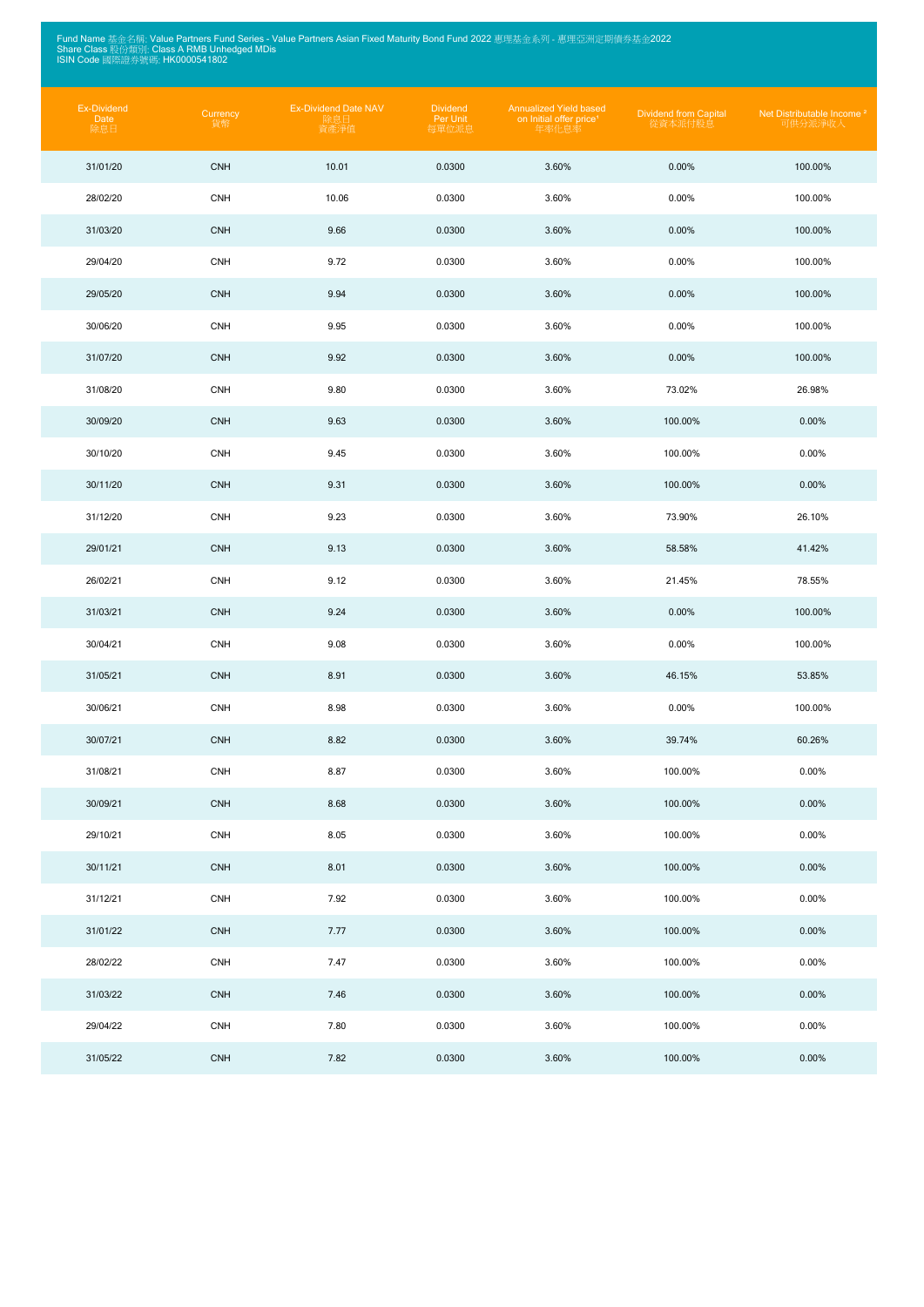Fund Name 基金名稱: Value Partners Fund Series - Value Partners Asian Fixed Maturity Bond Fund 2022 惠理基金系列 - 惠理亞洲定期債券基金2022<br>Share Class 股份類別: Class A RMB Unhedged MDis<br>ISIN Code 國際證券號碼: HK0000541802

| Ex-Dividend<br>Date<br>除息日 | Currency<br>貨幣 | <b>Ex-Dividend Date NAV</b><br>除息日<br>資產淨值 | <b>Dividend</b><br>Per Unit<br>每單位派息 | <b>Annualized Yield based</b><br>on Initial offer price <sup>1</sup><br>年率化息率 | <b>Dividend from Capital</b><br>從資本派付股息 | Net Distributable Income <sup>2</sup><br>可供分派淨收入 |
|----------------------------|----------------|--------------------------------------------|--------------------------------------|-------------------------------------------------------------------------------|-----------------------------------------|--------------------------------------------------|
| 31/01/20                   | <b>CNH</b>     | 10.01                                      | 0.0300                               | 3.60%                                                                         | 0.00%                                   | 100.00%                                          |
| 28/02/20                   | <b>CNH</b>     | 10.06                                      | 0.0300                               | 3.60%                                                                         | 0.00%                                   | 100.00%                                          |
| 31/03/20                   | <b>CNH</b>     | 9.66                                       | 0.0300                               | 3.60%                                                                         | 0.00%                                   | 100.00%                                          |
| 29/04/20                   | <b>CNH</b>     | 9.72                                       | 0.0300                               | 3.60%                                                                         | 0.00%                                   | 100.00%                                          |
| 29/05/20                   | <b>CNH</b>     | 9.94                                       | 0.0300                               | 3.60%                                                                         | 0.00%                                   | 100.00%                                          |
| 30/06/20                   | <b>CNH</b>     | 9.95                                       | 0.0300                               | 3.60%                                                                         | 0.00%                                   | 100.00%                                          |
| 31/07/20                   | <b>CNH</b>     | 9.92                                       | 0.0300                               | 3.60%                                                                         | 0.00%                                   | 100.00%                                          |
| 31/08/20                   | <b>CNH</b>     | 9.80                                       | 0.0300                               | 3.60%                                                                         | 73.02%                                  | 26.98%                                           |
| 30/09/20                   | <b>CNH</b>     | 9.63                                       | 0.0300                               | 3.60%                                                                         | 100.00%                                 | 0.00%                                            |
| 30/10/20                   | <b>CNH</b>     | 9.45                                       | 0.0300                               | 3.60%                                                                         | 100.00%                                 | 0.00%                                            |
| 30/11/20                   | <b>CNH</b>     | 9.31                                       | 0.0300                               | 3.60%                                                                         | 100.00%                                 | 0.00%                                            |
| 31/12/20                   | <b>CNH</b>     | 9.23                                       | 0.0300                               | 3.60%                                                                         | 73.90%                                  | 26.10%                                           |
| 29/01/21                   | <b>CNH</b>     | 9.13                                       | 0.0300                               | 3.60%                                                                         | 58.58%                                  | 41.42%                                           |
| 26/02/21                   | <b>CNH</b>     | 9.12                                       | 0.0300                               | 3.60%                                                                         | 21.45%                                  | 78.55%                                           |
| 31/03/21                   | <b>CNH</b>     | 9.24                                       | 0.0300                               | 3.60%                                                                         | 0.00%                                   | 100.00%                                          |
| 30/04/21                   | <b>CNH</b>     | 9.08                                       | 0.0300                               | 3.60%                                                                         | 0.00%                                   | 100.00%                                          |
| 31/05/21                   | <b>CNH</b>     | 8.91                                       | 0.0300                               | 3.60%                                                                         | 46.15%                                  | 53.85%                                           |
| 30/06/21                   | <b>CNH</b>     | 8.98                                       | 0.0300                               | 3.60%                                                                         | 0.00%                                   | 100.00%                                          |
| 30/07/21                   | <b>CNH</b>     | 8.82                                       | 0.0300                               | 3.60%                                                                         | 39.74%                                  | 60.26%                                           |
| 31/08/21                   | <b>CNH</b>     | 8.87                                       | 0.0300                               | 3.60%                                                                         | 100.00%                                 | 0.00%                                            |
| 30/09/21                   | <b>CNH</b>     | 8.68                                       | 0.0300                               | 3.60%                                                                         | 100.00%                                 | 0.00%                                            |
| 29/10/21                   | <b>CNH</b>     | 8.05                                       | 0.0300                               | 3.60%                                                                         | 100.00%                                 | 0.00%                                            |
| 30/11/21                   | <b>CNH</b>     | 8.01                                       | 0.0300                               | 3.60%                                                                         | 100.00%                                 | 0.00%                                            |
| 31/12/21                   | <b>CNH</b>     | 7.92                                       | 0.0300                               | 3.60%                                                                         | 100.00%                                 | 0.00%                                            |
| 31/01/22                   | <b>CNH</b>     | 7.77                                       | 0.0300                               | 3.60%                                                                         | 100.00%                                 | 0.00%                                            |
| 28/02/22                   | <b>CNH</b>     | 7.47                                       | 0.0300                               | 3.60%                                                                         | 100.00%                                 | 0.00%                                            |
| 31/03/22                   | <b>CNH</b>     | 7.46                                       | 0.0300                               | 3.60%                                                                         | 100.00%                                 | 0.00%                                            |
| 29/04/22                   | <b>CNH</b>     | 7.80                                       | 0.0300                               | 3.60%                                                                         | 100.00%                                 | 0.00%                                            |
| 31/05/22                   | <b>CNH</b>     | 7.82                                       | 0.0300                               | 3.60%                                                                         | 100.00%                                 | 0.00%                                            |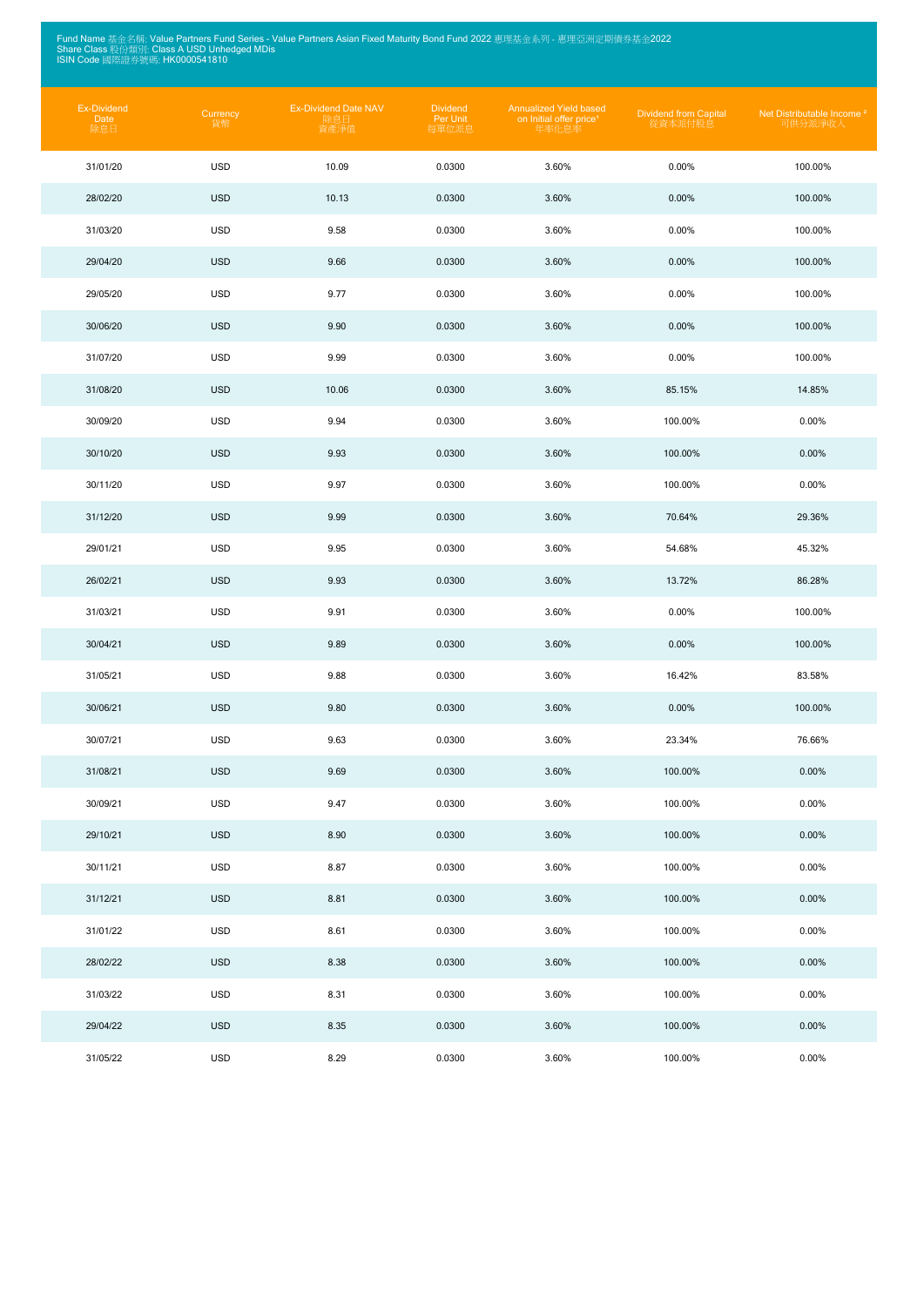Fund Name 基金名稱: Value Partners Fund Series - Value Partners Asian Fixed Maturity Bond Fund 2022 惠理基金系列 - 惠理亞洲定期債券基金2022<br>Share Class 股份類別: Class A USD Unhedged MDis<br>ISIN Code 國際證券號碼: HK0000541810

| Ex-Dividend<br>Date<br>除息日 | Currency<br>貨幣 | <b>Ex-Dividend Date NAV</b><br>除息日<br>資產淨值 | <b>Dividend</b><br>Per Unit<br>每單位派息 | Annualized Yield based<br>on Initial offer price <sup>1</sup><br>年率化息率 | <b>Dividend from Capital</b><br>從資本派付股息 | Net Distributable Income <sup>2</sup><br>可供分派淨收入 |
|----------------------------|----------------|--------------------------------------------|--------------------------------------|------------------------------------------------------------------------|-----------------------------------------|--------------------------------------------------|
| 31/01/20                   | <b>USD</b>     | 10.09                                      | 0.0300                               | 3.60%                                                                  | 0.00%                                   | 100.00%                                          |
| 28/02/20                   | <b>USD</b>     | 10.13                                      | 0.0300                               | 3.60%                                                                  | 0.00%                                   | 100.00%                                          |
| 31/03/20                   | <b>USD</b>     | 9.58                                       | 0.0300                               | 3.60%                                                                  | 0.00%                                   | 100.00%                                          |
| 29/04/20                   | <b>USD</b>     | 9.66                                       | 0.0300                               | 3.60%                                                                  | 0.00%                                   | 100.00%                                          |
| 29/05/20                   | <b>USD</b>     | 9.77                                       | 0.0300                               | 3.60%                                                                  | 0.00%                                   | 100.00%                                          |
| 30/06/20                   | <b>USD</b>     | 9.90                                       | 0.0300                               | 3.60%                                                                  | 0.00%                                   | 100.00%                                          |
| 31/07/20                   | <b>USD</b>     | 9.99                                       | 0.0300                               | 3.60%                                                                  | 0.00%                                   | 100.00%                                          |
| 31/08/20                   | <b>USD</b>     | 10.06                                      | 0.0300                               | 3.60%                                                                  | 85.15%                                  | 14.85%                                           |
| 30/09/20                   | <b>USD</b>     | 9.94                                       | 0.0300                               | 3.60%                                                                  | 100.00%                                 | 0.00%                                            |
| 30/10/20                   | <b>USD</b>     | 9.93                                       | 0.0300                               | 3.60%                                                                  | 100.00%                                 | 0.00%                                            |
| 30/11/20                   | <b>USD</b>     | 9.97                                       | 0.0300                               | 3.60%                                                                  | 100.00%                                 | 0.00%                                            |
| 31/12/20                   | <b>USD</b>     | 9.99                                       | 0.0300                               | 3.60%                                                                  | 70.64%                                  | 29.36%                                           |
| 29/01/21                   | <b>USD</b>     | 9.95                                       | 0.0300                               | 3.60%                                                                  | 54.68%                                  | 45.32%                                           |
| 26/02/21                   | <b>USD</b>     | 9.93                                       | 0.0300                               | 3.60%                                                                  | 13.72%                                  | 86.28%                                           |
| 31/03/21                   | <b>USD</b>     | 9.91                                       | 0.0300                               | 3.60%                                                                  | 0.00%                                   | 100.00%                                          |
| 30/04/21                   | <b>USD</b>     | 9.89                                       | 0.0300                               | 3.60%                                                                  | 0.00%                                   | 100.00%                                          |
| 31/05/21                   | <b>USD</b>     | 9.88                                       | 0.0300                               | 3.60%                                                                  | 16.42%                                  | 83.58%                                           |
| 30/06/21                   | <b>USD</b>     | 9.80                                       | 0.0300                               | 3.60%                                                                  | $0.00\%$                                | 100.00%                                          |
| 30/07/21                   | <b>USD</b>     | 9.63                                       | 0.0300                               | 3.60%                                                                  | 23.34%                                  | 76.66%                                           |
| 31/08/21                   | <b>USD</b>     | 9.69                                       | 0.0300                               | 3.60%                                                                  | 100.00%                                 | 0.00%                                            |
| 30/09/21                   | <b>USD</b>     | 9.47                                       | 0.0300                               | 3.60%                                                                  | 100.00%                                 | 0.00%                                            |
| 29/10/21                   | <b>USD</b>     | 8.90                                       | 0.0300                               | 3.60%                                                                  | 100.00%                                 | 0.00%                                            |
| 30/11/21                   | <b>USD</b>     | 8.87                                       | 0.0300                               | 3.60%                                                                  | 100.00%                                 | 0.00%                                            |
| 31/12/21                   | <b>USD</b>     | 8.81                                       | 0.0300                               | 3.60%                                                                  | 100.00%                                 | 0.00%                                            |
| 31/01/22                   | <b>USD</b>     | 8.61                                       | 0.0300                               | 3.60%                                                                  | 100.00%                                 | 0.00%                                            |
| 28/02/22                   | <b>USD</b>     | 8.38                                       | 0.0300                               | 3.60%                                                                  | 100.00%                                 | 0.00%                                            |
| 31/03/22                   | <b>USD</b>     | 8.31                                       | 0.0300                               | 3.60%                                                                  | 100.00%                                 | 0.00%                                            |
| 29/04/22                   | <b>USD</b>     | 8.35                                       | 0.0300                               | 3.60%                                                                  | 100.00%                                 | 0.00%                                            |
| 31/05/22                   | <b>USD</b>     | 8.29                                       | 0.0300                               | 3.60%                                                                  | 100.00%                                 | 0.00%                                            |